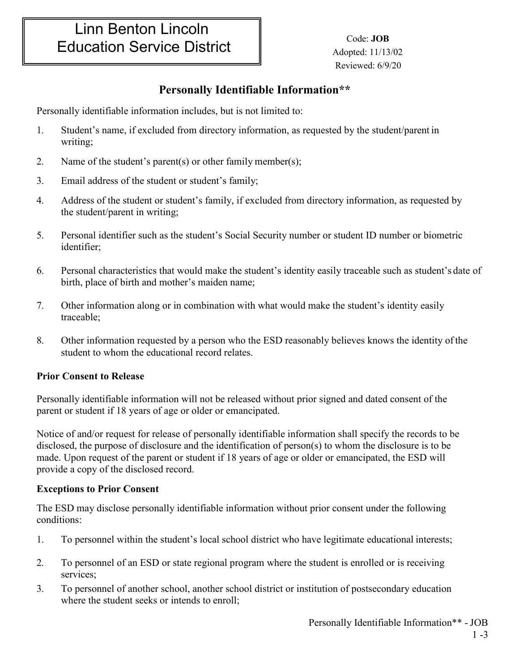# Linn Benton Lincoln Education Service District

 Code: **JOB**  Adopted: 11/13/02 Reviewed: 6/9/20

## **Personally Identifiable Information\*\***

Personally identifiable information includes, but is not limited to:

- 1. Student's name, if excluded from directory information, as requested by the student/parent in writing;
- 2. Name of the student's parent(s) or other family member(s);
- 3. Email address of the student or student's family;
- 4. Address of the student or student's family, if excluded from directory information, as requested by the student/parent in writing;
- 5. Personal identifier such as the student's Social Security number or student ID number or biometric identifier;
- 6. Personal characteristics that would make the student's identity easily traceable such as student's date of birth, place of birth and mother's maiden name;
- 7. Other information along or in combination with what would make the student's identity easily traceable;
- 8. Other information requested by a person who the ESD reasonably believes knows the identity ofthe student to whom the educational record relates.

### **Prior Consent to Release**

Personally identifiable information will not be released without prior signed and dated consent of the parent or student if 18 years of age or older or emancipated.

Notice of and/or request for release of personally identifiable information shall specify the records to be disclosed, the purpose of disclosure and the identification of person(s) to whom the disclosure is to be made. Upon request of the parent or student if 18 years of age or older or emancipated, the ESD will provide a copy of the disclosed record.

#### **Exceptions to Prior Consent**

The ESD may disclose personally identifiable information without prior consent under the following conditions:

- 1. To personnel within the student's local school district who have legitimate educational interests;
- 2. To personnel of an ESD or state regional program where the student is enrolled or is receiving services;
- 3. To personnel of another school, another school district or institution of postsecondary education where the student seeks or intends to enroll;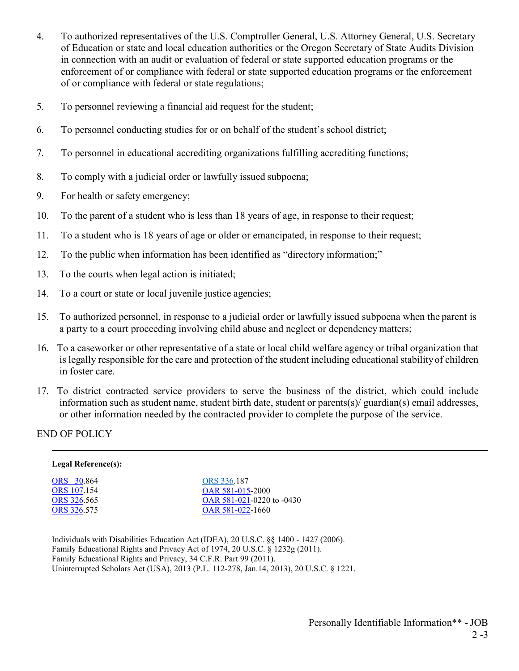- 4. To authorized representatives of the U.S. Comptroller General, U.S. Attorney General, U.S. Secretary of Education or state and local education authorities or the Oregon Secretary of State Audits Division in connection with an audit or evaluation of federal or state supported education programs or the enforcement of or compliance with federal or state supported education programs or the enforcement of or compliance with federal or state regulations;
- 5. To personnel reviewing a financial aid request for the student;
- 6. To personnel conducting studies for or on behalf of the student's school district;
- 7. To personnel in educational accrediting organizations fulfilling accrediting functions;
- 8. To comply with a judicial order or lawfully issued subpoena;
- 9. For health or safety emergency;
- 10. To the parent of a student who is less than 18 years of age, in response to their request;
- 11. To a student who is 18 years of age or older or emancipated, in response to their request;
- 12. To the public when information has been identified as "directory information;"
- 13. To the courts when legal action is initiated;
- 14. To a court or state or local juvenile justice agencies;
- 15. To authorized personnel, in response to a judicial order or lawfully issued subpoena when the parent is a party to a court proceeding involving child abuse and neglect or dependencymatters;
- 16. To a caseworker or other representative of a state or local child welfare agency or tribal organization that is legally responsible for the care and protection of the student including educational stabilityof children in foster care.
- 17. To district contracted service providers to serve the business of the district, which could include information such as student name, student birth date, student or parents(s)/ guardian(s) email addresses, or other information needed by the contracted provider to complete the purpose of the service.

#### END OF POLICY

| Legal Reference(s): |                                   |
|---------------------|-----------------------------------|
| <b>ORS</b> 30.864   | ORS 336.187                       |
| <b>ORS</b> 107.154  | OAR 581-015-2000                  |
| ORS 326.565         | OAR $581 - 021 - 0220$ to $-0430$ |
| <b>ORS</b> 326.575  | OAR 581-022-1660                  |
|                     |                                   |
|                     |                                   |

Individuals with Disabilities Education Act (IDEA), 20 U.S.C. §§ 1400 - 1427 (2006). Family Educational Rights and Privacy Act of 1974, 20 U.S.C. § 1232g (2011). Family Educational Rights and Privacy, 34 C.F.R. Part 99 (2011). Uninterrupted Scholars Act (USA), 2013 (P.L. 112-278, Jan.14, 2013), 20 U.S.C. § 1221.